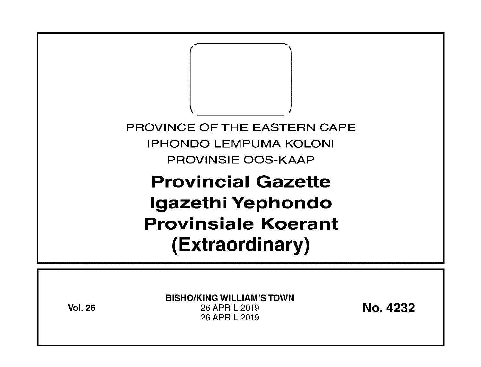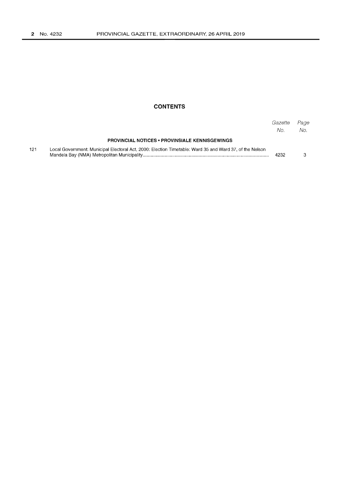### **CONTENTS**

|     |                                                                                                         | Gazette<br>No. | Page<br>No. |
|-----|---------------------------------------------------------------------------------------------------------|----------------|-------------|
|     | <b>PROVINCIAL NOTICES • PROVINSIALE KENNISGEWINGS</b>                                                   |                |             |
| 121 | Local Government: Municipal Electoral Act, 2000: Election Timetable: Ward 35 and Ward 37, of the Nelson | 4232           |             |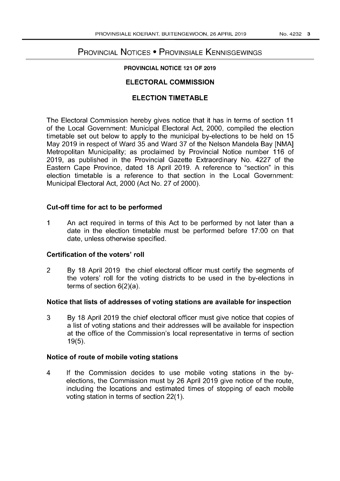# PROVINCIAL NOTICES • PROVINSIALE KENNISGEWINGS

### PROVINCIAL NOTICE 121 OF 2019

## ELECTORAL COMMISSION

## ELECTION TIMETABLE

The Electoral Commission hereby gives notice that it has in terms of section 11 of the Local Government: Municipal Electoral Act, 2000, compiled the election timetable set out below to apply to the municipal by-elections to be held on 15 May 2019 in respect of Ward 35 and Ward 37 of the Nelson Mandela Bay [NMA] Metropolitan Municipality; as proclaimed by Provincial Notice number 116 of 2019, as published in the Provincial Gazette Extraordinary No. 4227 of the Eastern Cape Province, dated 18 April 2019. A reference to "section" in this election timetable is a reference to that section in the Local Government: Municipal Electoral Act, 2000 (Act No. 27 of 2000).

## Cut-off time for act to be performed

1 An act required in terms of this Act to be performed by not later than a date in the election timetable must be performed before 17:00 on that date, unless otherwise specified.

## Certification of the voters' roll

2 By 18 April 2019 the chief electoral officer must certify the segments of the voters' roll for the voting districts to be used in the by-elections in terms of section 6(2)(a).

## Notice that lists of addresses of voting stations are available for inspection

3 By 18 April 2019 the chief electoral officer must give notice that copies of a list of voting stations and their addresses will be available for inspection at the office of the Commission's local representative in terms of section 19(5).

## Notice of route of mobile voting stations

4 If the Commission decides to use mobile voting stations in the byelections, the Commission must by 26 April 2019 give notice of the route, including the locations and estimated times of stopping of each mobile voting station in terms of section 22(1).